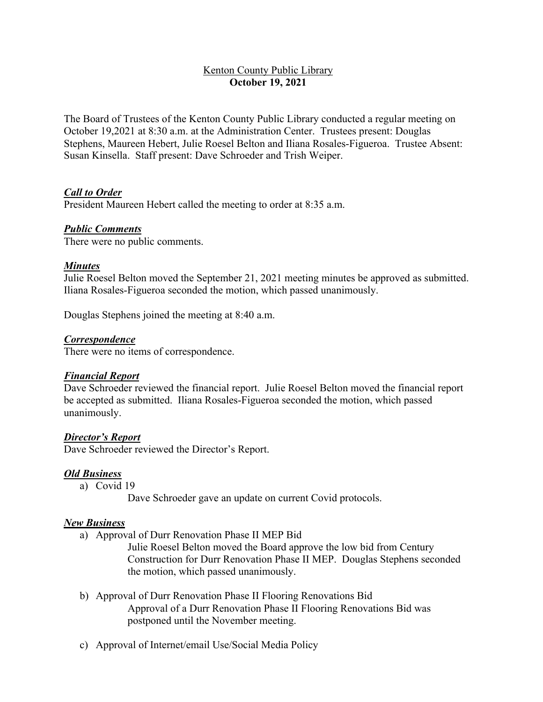## **Kenton County Public Library October 19, 2021**

The Board of Trustees of the Kenton County Public Library conducted a regular meeting on October 19,2021 at 8:30 a.m. at the Administration Center. Trustees present: Douglas Stephens, Maureen Hebert, Julie Roesel Belton and Iliana Rosales-Figueroa. Trustee Absent: Susan Kinsella. Staff present: Dave Schroeder and Trish Weiper.

## *Call to Order*

President Maureen Hebert called the meeting to order at 8:35 a.m.

#### *Public Comments*

There were no public comments.

#### *Minutes*

Julie Roesel Belton moved the September 21, 2021 meeting minutes be approved as submitted. Iliana Rosales-Figueroa seconded the motion, which passed unanimously.

Douglas Stephens joined the meeting at 8:40 a.m.

#### *Correspondence*

There were no items of correspondence.

#### *Financial Report*

Dave Schroeder reviewed the financial report. Julie Roesel Belton moved the financial report be accepted as submitted. Iliana Rosales-Figueroa seconded the motion, which passed unanimously.

#### *Director's Report*

Dave Schroeder reviewed the Director's Report.

#### *Old Business*

a) Covid 19

Dave Schroeder gave an update on current Covid protocols.

#### *New Business*

a) Approval of Durr Renovation Phase II MEP Bid

Julie Roesel Belton moved the Board approve the low bid from Century Construction for Durr Renovation Phase II MEP. Douglas Stephens seconded the motion, which passed unanimously.

- b) Approval of Durr Renovation Phase II Flooring Renovations Bid Approval of a Durr Renovation Phase II Flooring Renovations Bid was postponed until the November meeting.
- c) Approval of Internet/email Use/Social Media Policy